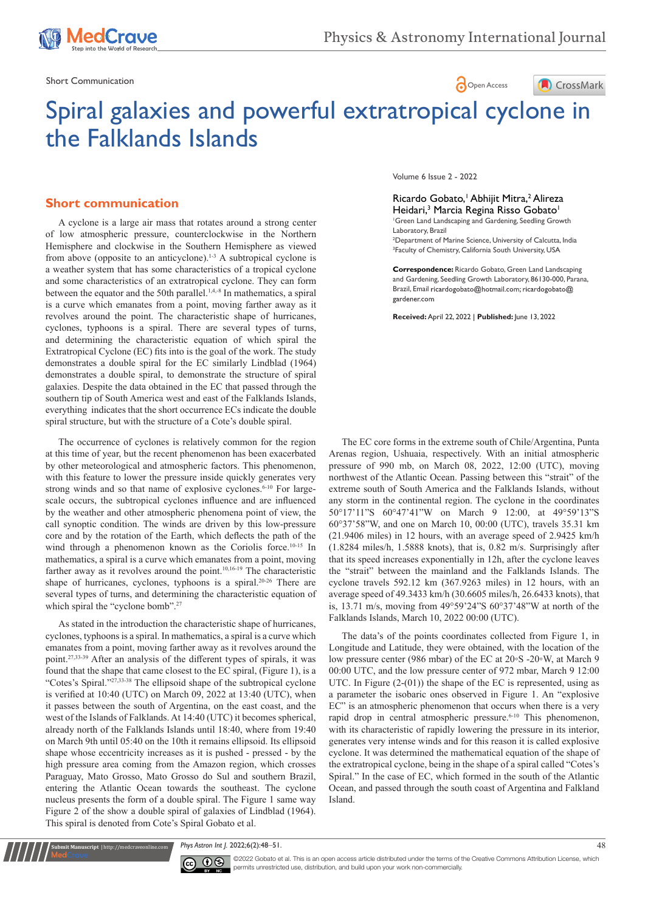

CrossMark

Short Communication  $\bigcap_{\Omega}$  Open Access

**ledCrave** 

# Spiral galaxies and powerful extratropical cyclone in the Falklands Islands

## **Short communication**

A cyclone is a large air mass that rotates around a strong center of low atmospheric pressure, counterclockwise in the Northern Hemisphere and clockwise in the Southern Hemisphere as viewed from above (opposite to an anticyclone).1-3 A subtropical cyclone is a weather system that has some characteristics of a tropical cyclone and some characteristics of an extratropical cyclone. They can form between the equator and the 50th parallel.<sup>1,4,-8</sup> In mathematics, a spiral is a curve which emanates from a point, moving farther away as it revolves around the point. The characteristic shape of hurricanes, cyclones, typhoons is a spiral. There are several types of turns, and determining the characteristic equation of which spiral the Extratropical Cyclone (EC) fits into is the goal of the work. The study demonstrates a double spiral for the EC similarly Lindblad (1964) demonstrates a double spiral, to demonstrate the structure of spiral galaxies. Despite the data obtained in the EC that passed through the southern tip of South America west and east of the Falklands Islands, everything indicates that the short occurrence ECs indicate the double spiral structure, but with the structure of a Cote's double spiral.

The occurrence of cyclones is relatively common for the region at this time of year, but the recent phenomenon has been exacerbated by other meteorological and atmospheric factors. This phenomenon, with this feature to lower the pressure inside quickly generates very strong winds and so that name of explosive cyclones.<sup>6-10</sup> For largescale occurs, the subtropical cyclones influence and are influenced by the weather and other atmospheric phenomena point of view, the call synoptic condition. The winds are driven by this low-pressure core and by the rotation of the Earth, which deflects the path of the wind through a phenomenon known as the Coriolis force.<sup>10-15</sup> In mathematics, a spiral is a curve which emanates from a point, moving farther away as it revolves around the point.<sup>10,16-19</sup> The characteristic shape of hurricanes, cyclones, typhoons is a spiral.20-26 There are several types of turns, and determining the characteristic equation of which spiral the "cyclone bomb".<sup>27</sup>

As stated in the introduction the characteristic shape of hurricanes, cyclones, typhoons is a spiral. In mathematics, a spiral is a curve which emanates from a point, moving farther away as it revolves around the point.27,33-39 After an analysis of the different types of spirals, it was found that the shape that came closest to the EC spiral, (Figure 1), is a "Cotes's Spiral."27,33-38 The ellipsoid shape of the subtropical cyclone is verified at 10:40 (UTC) on March 09, 2022 at 13:40 (UTC), when it passes between the south of Argentina, on the east coast, and the west of the Islands of Falklands. At 14:40 (UTC) it becomes spherical, already north of the Falklands Islands until 18:40, where from 19:40 on March 9th until 05:40 on the 10th it remains ellipsoid. Its ellipsoid shape whose eccentricity increases as it is pushed - pressed - by the high pressure area coming from the Amazon region, which crosses Paraguay, Mato Grosso, Mato Grosso do Sul and southern Brazil, entering the Atlantic Ocean towards the southeast. The cyclone nucleus presents the form of a double spiral. The Figure 1 same way Figure 2 of the show a double spiral of galaxies of Lindblad (1964). This spiral is denoted from Cote's Spiral Gobato et al.

Volume 6 Issue 2 - 2022

#### Ricardo Gobato,<sup>†</sup> Abhijit Mitra,<sup>2</sup> Alireza Heidari,<sup>3</sup> Marcia Regina Risso Gobato<sup>1</sup> 1 Green Land Landscaping and Gardening, Seedling Growth Laboratory, Brazil

2 Department of Marine Science, University of Calcutta, India 3 Faculty of Chemistry, California South University, USA

**Correspondence:** Ricardo Gobato, Green Land Landscaping and Gardening, Seedling Growth Laboratory, 86130-000, Parana, Brazil, Email ricardogobato@hotmail.com; ricardogobato@ gardener.com

**Received:** April 22, 2022 | **Published:** June 13, 2022

The EC core forms in the extreme south of Chile/Argentina, Punta Arenas region, Ushuaia, respectively. With an initial atmospheric pressure of 990 mb, on March 08, 2022, 12:00 (UTC), moving northwest of the Atlantic Ocean. Passing between this "strait" of the extreme south of South America and the Falklands Islands, without any storm in the continental region. The cyclone in the coordinates 50°17'11"S 60°47'41"W on March 9 12:00, at 49°59'13"S 60°37'58"W, and one on March 10, 00:00 (UTC), travels 35.31 km (21.9406 miles) in 12 hours, with an average speed of 2.9425 km/h (1.8284 miles/h, 1.5888 knots), that is, 0.82 m/s. Surprisingly after that its speed increases exponentially in 12h, after the cyclone leaves the "strait" between the mainland and the Falklands Islands. The cyclone travels 592.12 km (367.9263 miles) in 12 hours, with an average speed of 49.3433 km/h (30.6605 miles/h, 26.6433 knots), that is, 13.71 m/s, moving from 49°59'24"S 60°37'48"W at north of the Falklands Islands, March 10, 2022 00:00 (UTC).

The data's of the points coordinates collected from Figure 1, in Longitude and Latitude, they were obtained, with the location of the low pressure center (986 mbar) of the EC at 20◦S -20◦W, at March 9 00:00 UTC, and the low pressure center of 972 mbar, March 9 12:00 UTC. In Figure (2-(01)) the shape of the EC is represented, using as a parameter the isobaric ones observed in Figure 1. An "explosive EC" is an atmospheric phenomenon that occurs when there is a very rapid drop in central atmospheric pressure.<sup>6-10</sup> This phenomenon, with its characteristic of rapidly lowering the pressure in its interior, generates very intense winds and for this reason it is called explosive cyclone. It was determined the mathematical equation of the shape of the extratropical cyclone, being in the shape of a spiral called "Cotes's Spiral." In the case of EC, which formed in the south of the Atlantic Ocean, and passed through the south coast of Argentina and Falkland Island.

*Phys Astron Int J.* 2022;6(2):48‒51. 48



**it Manuscript** | http://medcraveonline.co

 $\overline{\text{cc}}$   $\overline{\text{C}}$   $\odot$   $\odot$  2022 Gobato et al. This is an open access article distributed under the terms of the Creative Commons Attribution License, which permits unrestricted use, distribution, and build upon your work non-commercially.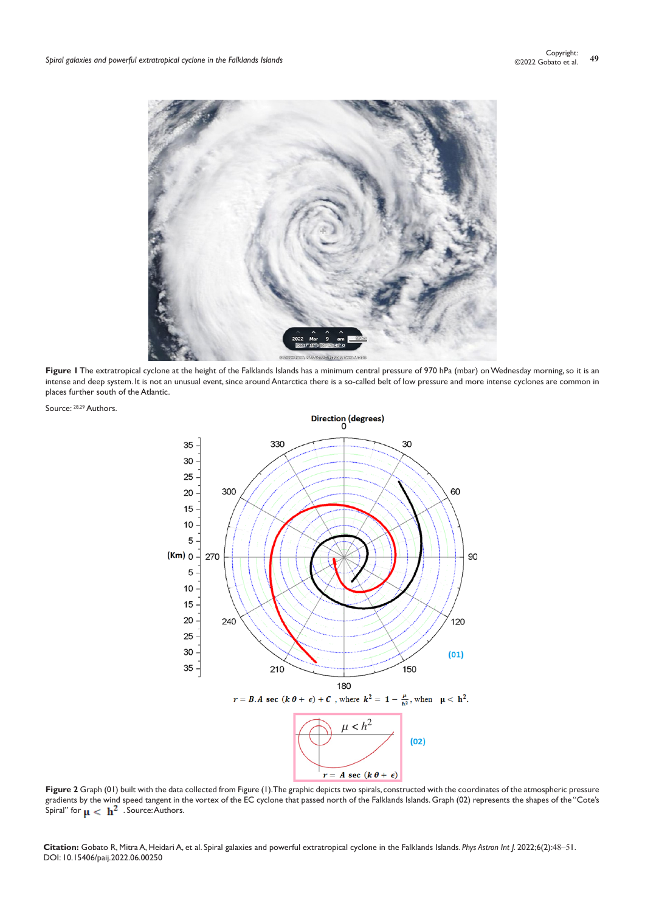

Figure I The extratropical cyclone at the height of the Falklands Islands has a minimum central pressure of 970 hPa (mbar) on Wednesday morning, so it is an intense and deep system. It is not an unusual event, since around Antarctica there is a so-called belt of low pressure and more intense cyclones are common in places further south of the Atlantic.





Figure 2 Graph (01) built with the data collected from Figure (1). The graphic depicts two spirals, constructed with the coordinates of the atmospheric pressure gradients by the wind speed tangent in the vortex of the EC cyclone that passed north of the Falklands Islands. Graph (02) represents the shapes of the "Cote's Spiral" for  $\mathbf{u} < \mathbf{h}^2$  . Source: Authors.

**Citation:** Gobato R, Mitra A, Heidari A, et al. Spiral galaxies and powerful extratropical cyclone in the Falklands Islands. *Phys Astron Int J.* 2022;6(2):48‒51. DOI: [10.15406/paij.2022.06.00250](https://doi.org/10.15406/paij.2022.06.00250)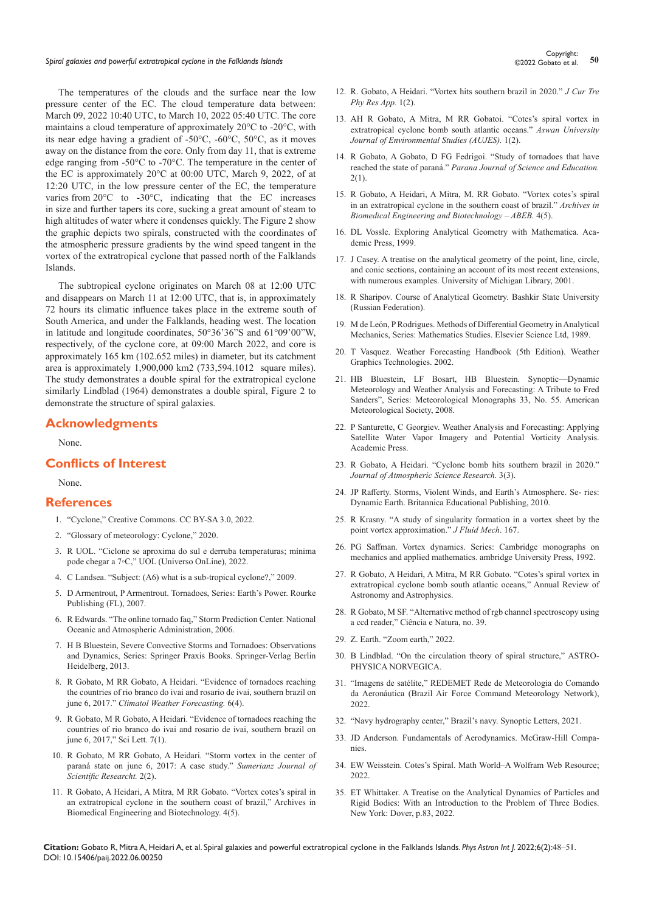# *Spiral galaxies and powerful extratropical cyclone in the Falklands Islands* **<sup>50</sup>** Copyright:

The temperatures of the clouds and the surface near the low pressure center of the EC. The cloud temperature data between: March 09, 2022 10:40 UTC, to March 10, 2022 05:40 UTC. The core maintains a cloud temperature of approximately 20°C to -20°C, with its near edge having a gradient of -50°C, -60°C, 50°C, as it moves away on the distance from the core. Only from day 11, that is extreme edge ranging from -50°C to -70°C. The temperature in the center of the EC is approximately 20°C at 00:00 UTC, March 9, 2022, of at 12:20 UTC, in the low pressure center of the EC, the temperature varies from 20°C to -30°C, indicating that the EC increases in size and further tapers its core, sucking a great amount of steam to high altitudes of water where it condenses quickly. The Figure 2 show the graphic depicts two spirals, constructed with the coordinates of the atmospheric pressure gradients by the wind speed tangent in the vortex of the extratropical cyclone that passed north of the Falklands Islands.

The subtropical cyclone originates on March 08 at 12:00 UTC and disappears on March 11 at 12:00 UTC, that is, in approximately 72 hours its climatic influence takes place in the extreme south of South America, and under the Falklands, heading west. The location in latitude and longitude coordinates, 50°36'36"S and 61°09'00"W, respectively, of the cyclone core, at 09:00 March 2022, and core is approximately 165 km (102.652 miles) in diameter, but its catchment area is approximately 1,900,000 km2 (733,594.1012 square miles). The study demonstrates a double spiral for the extratropical cyclone similarly Lindblad (1964) demonstrates a double spiral, Figure 2 to demonstrate the structure of spiral galaxies.

### **Acknowledgments**

None.

## **Conflicts of Interest**

None.

### **References**

- 1. "Cyclone," Creative Commons. CC BY-SA 3.0, 2022.
- 2. "Glossary of meteorology: Cyclone," 2020.
- 3. R UOL. "Ciclone se aproxima do sul e derruba temperaturas; mínima pode chegar a 7◦C," UOL (Universo OnLine), 2022.
- 4. C Landsea. "Subject: (A6) what is a sub-tropical cyclone?," 2009.
- 5. D Armentrout, P Armentrout. Tornadoes, Series: Earth's Power. Rourke Publishing (FL), 2007.
- 6. R Edwards. "The online tornado faq," Storm Prediction Center. National Oceanic and Atmospheric Administration, 2006.
- 7. H B Bluestein, Severe Convective Storms and Tornadoes: Observations and Dynamics, Series: Springer Praxis Books. Springer-Verlag Berlin Heidelberg, 2013.
- 8. R Gobato, M RR Gobato, A Heidari. "Evidence of tornadoes reaching the countries of rio branco do ivai and rosario de ivai, southern brazil on june 6, 2017." *Climatol Weather Forecasting.* 6(4).
- 9. R Gobato, M R Gobato, A Heidari. "Evidence of tornadoes reaching the countries of rio branco do ivai and rosario de ivai, southern brazil on june 6, 2017," Sci Lett. 7(1).
- 10. R Gobato, M RR Gobato, A Heidari. "Storm vortex in the center of paraná state on june 6, 2017: A case study." *Sumerianz Journal of Scientific Researcht.* 2(2).
- 11. R Gobato, A Heidari, A Mitra, M RR Gobato. "Vortex cotes's spiral in an extratropical cyclone in the southern coast of brazil," Archives in Biomedical Engineering and Biotechnology. 4(5).
- 12. R. Gobato, A Heidari. "Vortex hits southern brazil in 2020." *J Cur Tre Phy Res App.* 1(2).
- 13. AH R Gobato, A Mitra, M RR Gobatoi. "Cotes's spiral vortex in extratropical cyclone bomb south atlantic oceans." *Aswan University Journal of Environmental Studies (AUJES).* 1(2).
- 14. R Gobato, A Gobato, D FG Fedrigoi. "Study of tornadoes that have reached the state of paraná." *Parana Journal of Science and Education.* 2(1).
- 15. R Gobato, A Heidari, A Mitra, M. RR Gobato. "Vortex cotes's spiral in an extratropical cyclone in the southern coast of brazil." *Archives in Biomedical Engineering and Biotechnology – ABEB.* 4(5).
- 16. DL Vossle. Exploring Analytical Geometry with Mathematica. Academic Press, 1999.
- 17. J Casey. A treatise on the analytical geometry of the point, line, circle, and conic sections, containing an account of its most recent extensions, with numerous examples. University of Michigan Library, 2001.
- 18. R Sharipov. Course of Analytical Geometry. Bashkir State University (Russian Federation).
- 19. M de León, P Rodrigues. Methods of Differential Geometry in Analytical Mechanics, Series: Mathematics Studies. Elsevier Science Ltd, 1989.
- 20. T Vasquez. Weather Forecasting Handbook (5th Edition). Weather Graphics Technologies. 2002.
- 21. HB Bluestein, LF Bosart, HB Bluestein. Synoptic—Dynamic Meteorology and Weather Analysis and Forecasting: A Tribute to Fred Sanders", Series: Meteorological Monographs 33, No. 55. American Meteorological Society, 2008.
- 22. P Santurette, C Georgiev. Weather Analysis and Forecasting: Applying Satellite Water Vapor Imagery and Potential Vorticity Analysis. Academic Press.
- 23. R Gobato, A Heidari. "Cyclone bomb hits southern brazil in 2020." *Journal of Atmospheric Science Research.* 3(3).
- 24. JP Rafferty. Storms, Violent Winds, and Earth's Atmosphere. Se- ries: Dynamic Earth. Britannica Educational Publishing, 2010.
- 25. R Krasny. "A study of singularity formation in a vortex sheet by the point vortex approximation." *J Fluid Mech*. 167.
- 26. PG Saffman. Vortex dynamics. Series: Cambridge monographs on mechanics and applied mathematics. ambridge University Press, 1992.
- 27. R Gobato, A Heidari, A Mitra, M RR Gobato. "Cotes's spiral vortex in extratropical cyclone bomb south atlantic oceans," Annual Review of Astronomy and Astrophysics.
- 28. R Gobato, M SF. "Alternative method of rgb channel spectroscopy using a ccd reader," Ciência e Natura, no. 39.
- 29. Z. Earth. "Zoom earth," 2022.
- 30. B Lindblad. "On the circulation theory of spiral structure," ASTRO-PHYSICA NORVEGICA.
- 31. "Imagens de satélite," REDEMET Rede de Meteorologia do Comando da Aeronáutica (Brazil Air Force Command Meteorology Network), 2022.
- 32. "Navy hydrography center," Brazil's navy. Synoptic Letters, 2021.
- 33. JD Anderson. Fundamentals of Aerodynamics. McGraw-Hill Companies.
- 34. [EW Weisstein. Cotes's Spiral. Math World–A Wolfram Web Resource;](https://mathworld.wolfram.com/CotesSpiral.htm)  [2022.](https://mathworld.wolfram.com/CotesSpiral.htm)
- 35. ET Whittaker. A Treatise on the Analytical Dynamics of Particles and Rigid Bodies: With an Introduction to the Problem of Three Bodies. New York: Dover, p.83, 2022.

**Citation:** Gobato R, Mitra A, Heidari A, et al. Spiral galaxies and powerful extratropical cyclone in the Falklands Islands. *Phys Astron Int J.* 2022;6(2):48‒51. DOI: [10.15406/paij.2022.06.00250](https://doi.org/10.15406/paij.2022.06.00250)